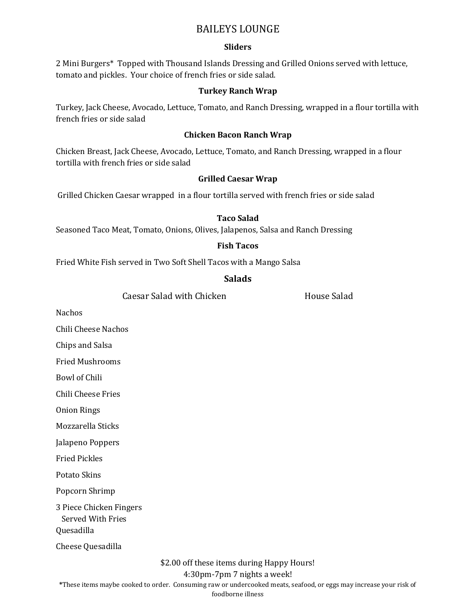### BAILEYS LOUNGE

### **Sliders**

2 Mini Burgers\* Topped with Thousand Islands Dressing and Grilled Onions served with lettuce, tomato and pickles. Your choice of french fries or side salad.

#### **Turkey Ranch Wrap**

Turkey, Jack Cheese, Avocado, Lettuce, Tomato, and Ranch Dressing, wrapped in a flour tortilla with french fries or side salad

#### **Chicken Bacon Ranch Wrap**

Chicken Breast, Jack Cheese, Avocado, Lettuce, Tomato, and Ranch Dressing, wrapped in a flour tortilla with french fries or side salad

### **Grilled Caesar Wrap**

Grilled Chicken Caesar wrapped in a flour tortilla served with french fries or side salad

### **Taco Salad**

Seasoned Taco Meat, Tomato, Onions, Olives, Jalapenos, Salsa and Ranch Dressing

### **Fish Tacos**

Fried White Fish served in Two Soft Shell Tacos with a Mango Salsa

#### **Salads**

Caesar Salad with Chicken **Exercise Salad** House Salad

Nachos

Chili Cheese Nachos

Chips and Salsa

Fried Mushrooms

Bowl of Chili

Chili Cheese Fries

Onion Rings

Mozzarella Sticks

Jalapeno Poppers

Fried Pickles

Potato Skins

Popcorn Shrimp

3 Piece Chicken Fingers

Served With Fries

Quesadilla

Cheese Quesadilla

\$2.00 off these items during Happy Hours!

4:30pm-7pm 7 nights a week!

**\***These items maybe cooked to order. Consuming raw or undercooked meats, seafood, or eggs may increase your risk of

foodborne illness